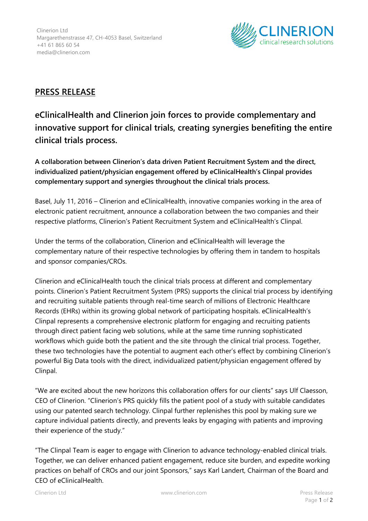

## **PRESS RELEASE**

**eClinicalHealth and Clinerion join forces to provide complementary and innovative support for clinical trials, creating synergies benefiting the entire clinical trials process.**

**A collaboration between Clinerion's data driven Patient Recruitment System and the direct, individualized patient/physician engagement offered by eClinicalHealth's Clinpal provides complementary support and synergies throughout the clinical trials process.**

Basel, July 11, 2016 – Clinerion and eClinicalHealth, innovative companies working in the area of electronic patient recruitment, announce a collaboration between the two companies and their respective platforms, Clinerion's Patient Recruitment System and eClinicalHealth's Clinpal.

Under the terms of the collaboration, Clinerion and eClinicalHealth will leverage the complementary nature of their respective technologies by offering them in tandem to hospitals and sponsor companies/CROs.

Clinerion and eClinicalHealth touch the clinical trials process at different and complementary points. Clinerion's Patient Recruitment System (PRS) supports the clinical trial process by identifying and recruiting suitable patients through real-time search of millions of Electronic Healthcare Records (EHRs) within its growing global network of participating hospitals. eClinicalHealth's Clinpal represents a comprehensive electronic platform for engaging and recruiting patients through direct patient facing web solutions, while at the same time running sophisticated workflows which guide both the patient and the site through the clinical trial process. Together, these two technologies have the potential to augment each other's effect by combining Clinerion's powerful Big Data tools with the direct, individualized patient/physician engagement offered by Clinpal.

"We are excited about the new horizons this collaboration offers for our clients" says Ulf Claesson, CEO of Clinerion. "Clinerion's PRS quickly fills the patient pool of a study with suitable candidates using our patented search technology. Clinpal further replenishes this pool by making sure we capture individual patients directly, and prevents leaks by engaging with patients and improving their experience of the study."

"The Clinpal Team is eager to engage with Clinerion to advance technology-enabled clinical trials. Together, we can deliver enhanced patient engagement, reduce site burden, and expedite working practices on behalf of CROs and our joint Sponsors," says Karl Landert, Chairman of the Board and CEO of eClinicalHealth.